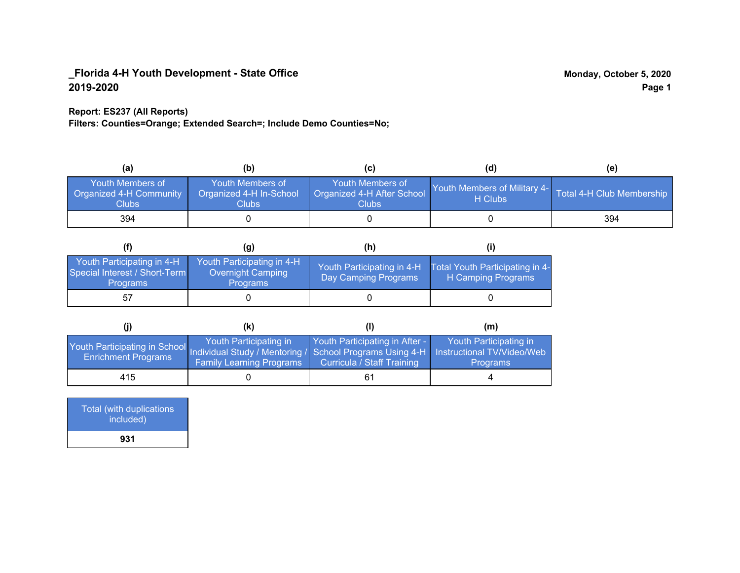### **Report: ES237 (All Reports)**

**Filters: Counties=Orange; Extended Search=; Include Demo Counties=No;**

| (a)                                                         | (b)                                                               |                                                         | (d)                                     | (e)                       |
|-------------------------------------------------------------|-------------------------------------------------------------------|---------------------------------------------------------|-----------------------------------------|---------------------------|
| Youth Members of<br><b>Organized 4-H Community</b><br>Clubs | Youth Members of<br>Organized 4-H In-School<br>Clubs <sub>.</sub> | Youth Members of<br>Organized 4-H After School<br>Clubs | Youth Members of Military 4-<br>H Clubs | Total 4-H Club Membership |
| 394                                                         |                                                                   |                                                         |                                         | 394                       |

|                                                                                |                                                                    | (h)                                                |                                                       |
|--------------------------------------------------------------------------------|--------------------------------------------------------------------|----------------------------------------------------|-------------------------------------------------------|
| Youth Participating in 4-H<br>Special Interest / Short-Term<br><b>Programs</b> | Youth Participating in 4-H<br>Overnight Camping<br><b>Programs</b> | Youth Participating in 4-H<br>Day Camping Programs | Total Youth Participating in 4-<br>H Camping Programs |
| 57                                                                             |                                                                    |                                                    |                                                       |

|                                                                                                                                                 | (k)                                                       | (1)                                                          | (m)                                       |
|-------------------------------------------------------------------------------------------------------------------------------------------------|-----------------------------------------------------------|--------------------------------------------------------------|-------------------------------------------|
| Youth Participating in School Individual Study / Mentoring / School Programs Using 4-H Instructional TV/Video/Web<br><b>Enrichment Programs</b> | Youth Participating in<br><b>Family Learning Programs</b> | Youth Participating in After -<br>Curricula / Staff Training | Youth Participating in<br><b>Programs</b> |
| 415                                                                                                                                             |                                                           | 61                                                           |                                           |

| <b>Total (with duplications)</b><br>included) |  |
|-----------------------------------------------|--|
| 931                                           |  |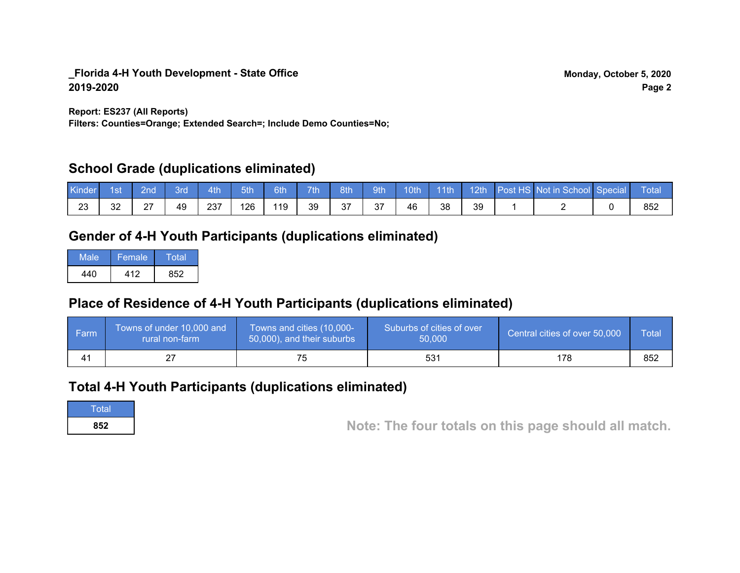**Report: ES237 (All Reports)**

**Filters: Counties=Orange; Extended Search=; Include Demo Counties=No;**

## **School Grade (duplications eliminated)**

| Kinder   | 1st | ?nd            | 3rd | 4th | 5th | 6th | 7th | 8th       | 9th       | 10th | $\cdot$ 11th | 12th | Post HS Not in School Special | Total |
|----------|-----|----------------|-----|-----|-----|-----|-----|-----------|-----------|------|--------------|------|-------------------------------|-------|
| റാ<br>د∠ | 32  | דר<br><u>.</u> | 49  | 237 | 126 | 119 | 39  | 27<br>، ب | 27<br>، ب | 46   | 38           | 39   |                               | 852   |

# **Gender of 4-H Youth Participants (duplications eliminated)**

| Male | Female. | Total |
|------|---------|-------|
| 440  | 412     | 852   |

# **Place of Residence of 4-H Youth Participants (duplications eliminated)**

| ∣ Farm | Towns of under 10,000 and<br>rural non-farm | Towns and cities (10,000-<br>50,000), and their suburbs | Suburbs of cities of over<br>50,000 | Central cities of over 50,000 | Total |
|--------|---------------------------------------------|---------------------------------------------------------|-------------------------------------|-------------------------------|-------|
|        | ∠                                           |                                                         | 531                                 | 178                           | 852   |

## **Total 4-H Youth Participants (duplications eliminated)**

**Total** 

**<sup>852</sup> Note: The four totals on this page should all match.**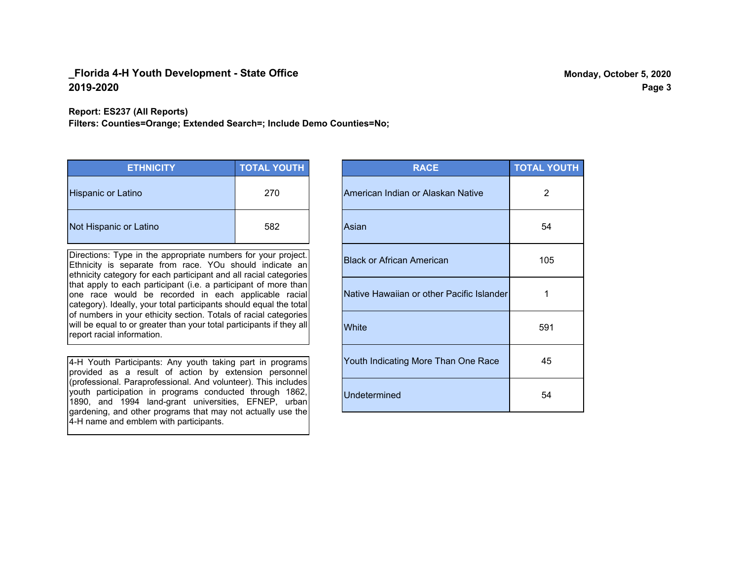**Report: ES237 (All Reports)**

**Filters: Counties=Orange; Extended Search=; Include Demo Counties=No;**

| <b>ETHNICITY</b>          | <b>TOTAL YOUTH</b> |
|---------------------------|--------------------|
| <b>Hispanic or Latino</b> | 270                |
| Not Hispanic or Latino    | 582                |

Directions: Type in the appropriate numbers for your project. Ethnicity is separate from race. YOu should indicate an ethnicity category for each participant and all racial categories that apply to each participant (i.e. a participant of more than one race would be recorded in each applicable racial category). Ideally, your total participants should equal the total of numbers in your ethicity section. Totals of racial categories will be equal to or greater than your total participants if they all report racial information.

4-H Youth Participants: Any youth taking part in programs provided as a result of action by extension personnel (professional. Paraprofessional. And volunteer). This includes youth participation in programs conducted through 1862, 1890, and 1994 land-grant universities, EFNEP, urban gardening, and other programs that may not actually use the 4-H name and emblem with participants.

| <b>RACE</b>                               | <b>TOTAL YOUTH</b> |
|-------------------------------------------|--------------------|
| American Indian or Alaskan Native         | 2                  |
| Asian                                     | 54                 |
| <b>Black or African American</b>          | 105                |
| Native Hawaiian or other Pacific Islander | 1                  |
| White                                     | 591                |
| Youth Indicating More Than One Race       | 45                 |
| <b>Undetermined</b>                       | 54                 |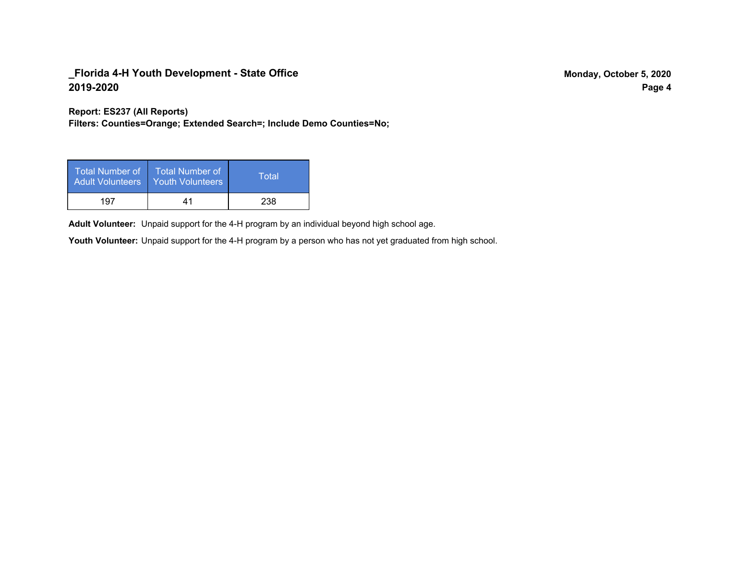**Report: ES237 (All Reports)**

**Filters: Counties=Orange; Extended Search=; Include Demo Counties=No;**

| Total Number of<br><b>Adult Volunteers</b> | <b>Total Number of</b><br><b>Youth Volunteers</b> | Total |
|--------------------------------------------|---------------------------------------------------|-------|
| 197                                        | 41                                                | 238   |

Adult Volunteer: Unpaid support for the 4-H program by an individual beyond high school age.

Youth Volunteer: Unpaid support for the 4-H program by a person who has not yet graduated from high school.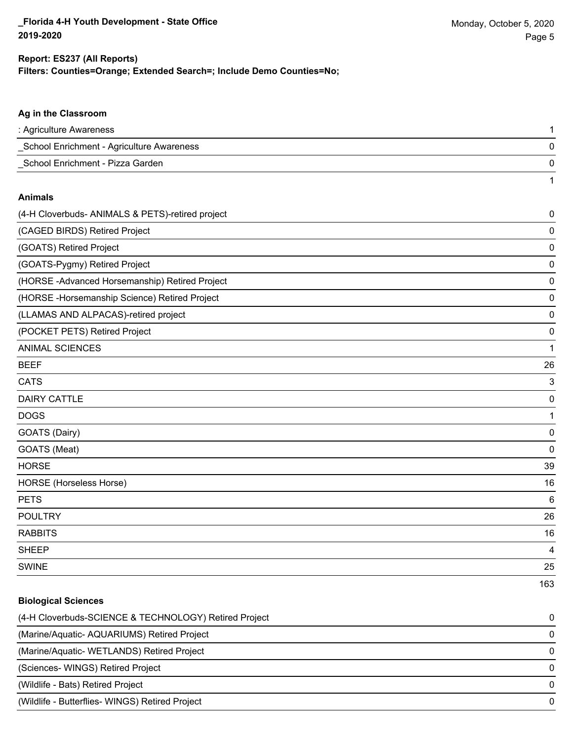1

### **Filters: Counties=Orange; Extended Search=; Include Demo Counties=No; Report: ES237 (All Reports)**

# **Ag in the Classroom** : Agriculture Awareness 1 \_School Enrichment - Agriculture Awareness 0 \_School Enrichment - Pizza Garden 0

#### **Animals**

| (4-H Cloverbuds- ANIMALS & PETS)-retired project | 0         |
|--------------------------------------------------|-----------|
| (CAGED BIRDS) Retired Project                    | 0         |
| (GOATS) Retired Project                          | 0         |
| (GOATS-Pygmy) Retired Project                    | 0         |
| (HORSE-Advanced Horsemanship) Retired Project    | 0         |
| (HORSE - Horsemanship Science) Retired Project   | 0         |
| (LLAMAS AND ALPACAS)-retired project             | 0         |
| (POCKET PETS) Retired Project                    | 0         |
| <b>ANIMAL SCIENCES</b>                           | 1         |
| <b>BEEF</b>                                      | 26        |
| <b>CATS</b>                                      | 3         |
| <b>DAIRY CATTLE</b>                              | 0         |
| <b>DOGS</b>                                      | 1         |
| GOATS (Dairy)                                    | 0         |
| GOATS (Meat)                                     | $\pmb{0}$ |
| <b>HORSE</b>                                     | 39        |
| <b>HORSE</b> (Horseless Horse)                   | 16        |
| <b>PETS</b>                                      | $\,6$     |
| <b>POULTRY</b>                                   | 26        |
| <b>RABBITS</b>                                   | 16        |
| <b>SHEEP</b>                                     | 4         |
| <b>SWINE</b>                                     | 25        |
|                                                  | 163       |

## **Biological Sciences**

| (4-H Cloverbuds-SCIENCE & TECHNOLOGY) Retired Project | $\Omega$ |
|-------------------------------------------------------|----------|
| (Marine/Aquatic-AQUARIUMS) Retired Project            | $\Omega$ |
| (Marine/Aquatic-WETLANDS) Retired Project             | $\Omega$ |
| (Sciences- WINGS) Retired Project                     | $\Omega$ |
| (Wildlife - Bats) Retired Project                     | $\Omega$ |
| (Wildlife - Butterflies- WINGS) Retired Project       | $\Omega$ |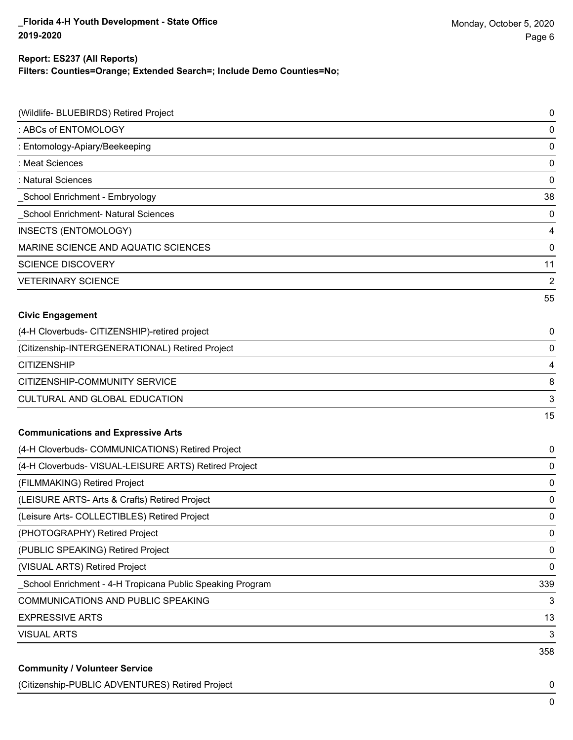### **Filters: Counties=Orange; Extended Search=; Include Demo Counties=No; Report: ES237 (All Reports)**

| (Wildlife- BLUEBIRDS) Retired Project                     | 0   |
|-----------------------------------------------------------|-----|
| : ABCs of ENTOMOLOGY                                      | 0   |
| : Entomology-Apiary/Beekeeping                            | 0   |
| : Meat Sciences                                           | 0   |
| : Natural Sciences                                        | 0   |
| _School Enrichment - Embryology                           | 38  |
| School Enrichment- Natural Sciences                       | 0   |
| INSECTS (ENTOMOLOGY)                                      | 4   |
| MARINE SCIENCE AND AQUATIC SCIENCES                       | 0   |
| <b>SCIENCE DISCOVERY</b>                                  | 11  |
| <b>VETERINARY SCIENCE</b>                                 | 2   |
|                                                           | 55  |
| <b>Civic Engagement</b>                                   |     |
| (4-H Cloverbuds- CITIZENSHIP)-retired project             | 0   |
| (Citizenship-INTERGENERATIONAL) Retired Project           | 0   |
| <b>CITIZENSHIP</b>                                        | 4   |
| CITIZENSHIP-COMMUNITY SERVICE                             | 8   |
| CULTURAL AND GLOBAL EDUCATION                             | 3   |
|                                                           | 15  |
| <b>Communications and Expressive Arts</b>                 |     |
| (4-H Cloverbuds- COMMUNICATIONS) Retired Project          | 0   |
| (4-H Cloverbuds- VISUAL-LEISURE ARTS) Retired Project     | 0   |
| (FILMMAKING) Retired Project                              | 0   |
| (LEISURE ARTS- Arts & Crafts) Retired Project             | 0   |
| (Leisure Arts- COLLECTIBLES) Retired Project              | 0   |
| (PHOTOGRAPHY) Retired Project                             | 0   |
| (PUBLIC SPEAKING) Retired Project                         | 0   |
| (VISUAL ARTS) Retired Project                             | 0   |
| School Enrichment - 4-H Tropicana Public Speaking Program | 339 |
| COMMUNICATIONS AND PUBLIC SPEAKING                        | 3   |
| <b>EXPRESSIVE ARTS</b>                                    | 13  |
| <b>VISUAL ARTS</b>                                        | 3   |
|                                                           | 358 |
| <b>Community / Volunteer Service</b>                      |     |

(Citizenship-PUBLIC ADVENTURES) Retired Project 0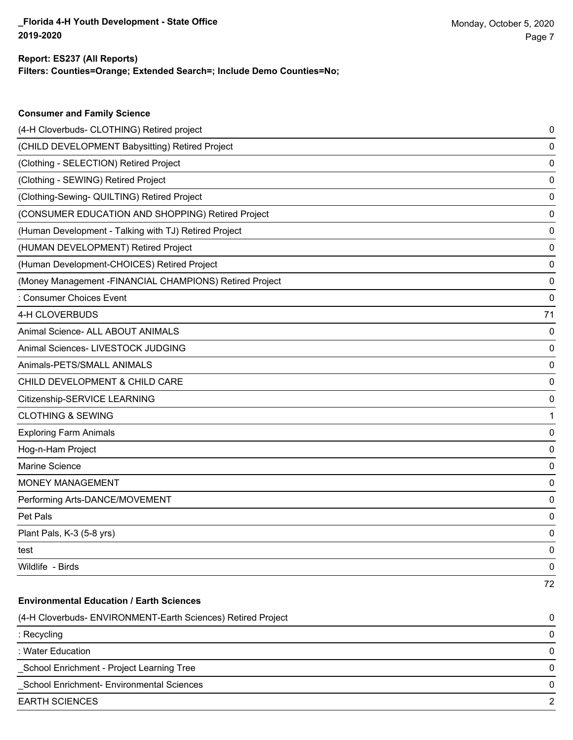**Consumer and Family Science**

### **Filters: Counties=Orange; Extended Search=; Include Demo Counties=No; Report: ES237 (All Reports)**

| (4-H Cloverbuds- CLOTHING) Retired project                   | 0  |
|--------------------------------------------------------------|----|
| (CHILD DEVELOPMENT Babysitting) Retired Project              | 0  |
| (Clothing - SELECTION) Retired Project                       | 0  |
| (Clothing - SEWING) Retired Project                          | 0  |
| (Clothing-Sewing- QUILTING) Retired Project                  | 0  |
| (CONSUMER EDUCATION AND SHOPPING) Retired Project            | 0  |
| (Human Development - Talking with TJ) Retired Project        | 0  |
| (HUMAN DEVELOPMENT) Retired Project                          | 0  |
| (Human Development-CHOICES) Retired Project                  | 0  |
| (Money Management - FINANCIAL CHAMPIONS) Retired Project     | 0  |
| : Consumer Choices Event                                     | 0  |
| 4-H CLOVERBUDS                                               | 71 |
| Animal Science- ALL ABOUT ANIMALS                            | 0  |
| Animal Sciences- LIVESTOCK JUDGING                           | 0  |
| Animals-PETS/SMALL ANIMALS                                   | 0  |
| CHILD DEVELOPMENT & CHILD CARE                               | 0  |
| Citizenship-SERVICE LEARNING                                 | 0  |
| <b>CLOTHING &amp; SEWING</b>                                 | 1  |
| <b>Exploring Farm Animals</b>                                | 0  |
| Hog-n-Ham Project                                            | 0  |
| Marine Science                                               | 0  |
| MONEY MANAGEMENT                                             | 0  |
| Performing Arts-DANCE/MOVEMENT                               | 0  |
| Pet Pals                                                     | 0  |
| Plant Pals, K-3 (5-8 yrs)                                    | 0  |
| test                                                         | 0  |
| Wildlife - Birds                                             | 0  |
|                                                              | 72 |
| <b>Environmental Education / Earth Sciences</b>              |    |
| (4-H Cloverbuds- ENVIRONMENT-Earth Sciences) Retired Project | 0  |
| : Recycling                                                  | 0  |
| : Water Education                                            | 0  |
| School Enrichment - Project Learning Tree                    | 0  |
| School Enrichment- Environmental Sciences                    | 0  |
| <b>EARTH SCIENCES</b>                                        | 2  |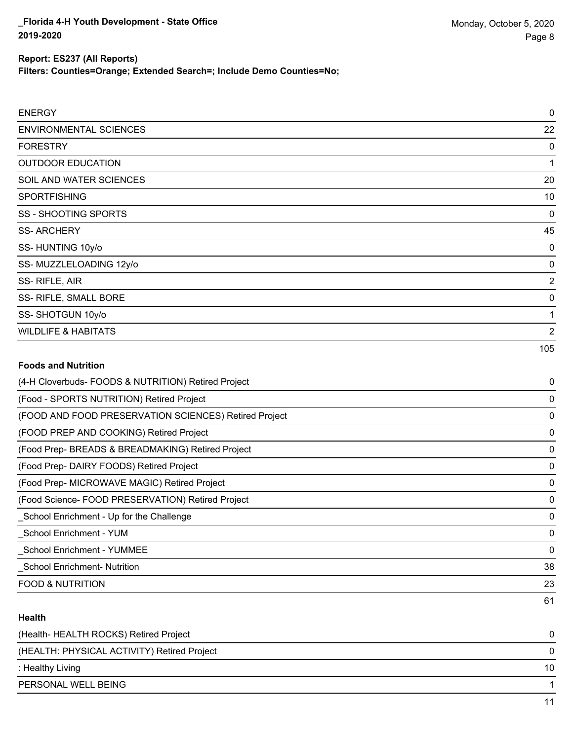**Filters: Counties=Orange; Extended Search=; Include Demo Counties=No;**

| <b>ENERGY</b>                  | 0              |
|--------------------------------|----------------|
| <b>ENVIRONMENTAL SCIENCES</b>  | 22             |
| <b>FORESTRY</b>                | 0              |
| <b>OUTDOOR EDUCATION</b>       |                |
| SOIL AND WATER SCIENCES        | 20             |
| <b>SPORTFISHING</b>            | 10             |
| <b>SS - SHOOTING SPORTS</b>    | 0              |
| <b>SS-ARCHERY</b>              | 45             |
| SS-HUNTING 10y/o               | 0              |
| SS-MUZZLELOADING 12y/o         | 0              |
| SS-RIFLE, AIR                  | 2              |
| SS- RIFLE, SMALL BORE          | 0              |
| SS-SHOTGUN 10y/o               |                |
| <b>WILDLIFE &amp; HABITATS</b> | $\overline{2}$ |
|                                | 105            |

## **Foods and Nutrition**

| (4-H Cloverbuds- FOODS & NUTRITION) Retired Project   | 0  |
|-------------------------------------------------------|----|
| (Food - SPORTS NUTRITION) Retired Project             | 0  |
| (FOOD AND FOOD PRESERVATION SCIENCES) Retired Project | 0  |
| (FOOD PREP AND COOKING) Retired Project               | 0  |
| (Food Prep- BREADS & BREADMAKING) Retired Project     | 0  |
| (Food Prep- DAIRY FOODS) Retired Project              | 0  |
| (Food Prep- MICROWAVE MAGIC) Retired Project          | 0  |
| (Food Science- FOOD PRESERVATION) Retired Project     | 0  |
| _School Enrichment - Up for the Challenge             | 0  |
| School Enrichment - YUM                               | 0  |
| <b>School Enrichment - YUMMEE</b>                     | 0  |
| <b>School Enrichment- Nutrition</b>                   | 38 |
| <b>FOOD &amp; NUTRITION</b>                           | 23 |
|                                                       | 61 |

## **Health**

| (Health-HEALTH ROCKS) Retired Project       |    |
|---------------------------------------------|----|
| (HEALTH: PHYSICAL ACTIVITY) Retired Project |    |
| : Healthy Living                            | 10 |
| PERSONAL WELL BEING                         |    |
|                                             |    |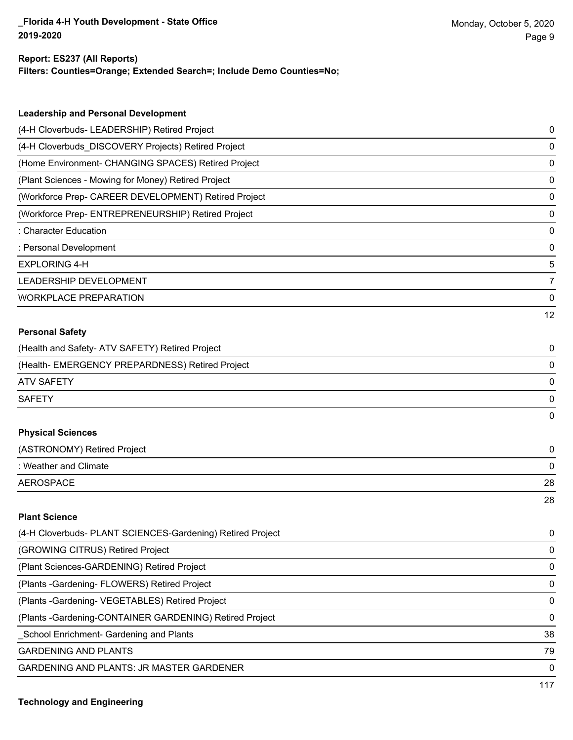### **Report: ES237 (All Reports)**

**Filters: Counties=Orange; Extended Search=; Include Demo Counties=No;**

| (4-H Cloverbuds- LEADERSHIP) Retired Project<br>0<br>(4-H Cloverbuds_DISCOVERY Projects) Retired Project<br>0<br>(Home Environment- CHANGING SPACES) Retired Project<br>0<br>(Plant Sciences - Mowing for Money) Retired Project<br>0<br>(Workforce Prep- CAREER DEVELOPMENT) Retired Project<br>0<br>(Workforce Prep- ENTREPRENEURSHIP) Retired Project<br>0<br>: Character Education<br>0<br>: Personal Development<br>0<br><b>EXPLORING 4-H</b><br>5<br>LEADERSHIP DEVELOPMENT<br>7<br><b>WORKPLACE PREPARATION</b><br>0<br>12<br><b>Personal Safety</b><br>(Health and Safety- ATV SAFETY) Retired Project<br>0<br>(Health- EMERGENCY PREPARDNESS) Retired Project<br>0<br><b>ATV SAFETY</b><br>0<br><b>SAFETY</b><br>0<br>0<br><b>Physical Sciences</b><br>(ASTRONOMY) Retired Project<br>0<br>: Weather and Climate<br>0<br><b>AEROSPACE</b><br>28<br>28<br><b>Plant Science</b><br>(4-H Cloverbuds- PLANT SCIENCES-Gardening) Retired Project<br>0<br>(GROWING CITRUS) Retired Project<br>0<br>(Plant Sciences-GARDENING) Retired Project<br>0<br>(Plants - Gardening - FLOWERS) Retired Project<br>0<br>(Plants - Gardening - VEGETABLES) Retired Project<br>0 | <b>Leadership and Personal Development</b> |  |
|------------------------------------------------------------------------------------------------------------------------------------------------------------------------------------------------------------------------------------------------------------------------------------------------------------------------------------------------------------------------------------------------------------------------------------------------------------------------------------------------------------------------------------------------------------------------------------------------------------------------------------------------------------------------------------------------------------------------------------------------------------------------------------------------------------------------------------------------------------------------------------------------------------------------------------------------------------------------------------------------------------------------------------------------------------------------------------------------------------------------------------------------------------------------|--------------------------------------------|--|
|                                                                                                                                                                                                                                                                                                                                                                                                                                                                                                                                                                                                                                                                                                                                                                                                                                                                                                                                                                                                                                                                                                                                                                        |                                            |  |
|                                                                                                                                                                                                                                                                                                                                                                                                                                                                                                                                                                                                                                                                                                                                                                                                                                                                                                                                                                                                                                                                                                                                                                        |                                            |  |
|                                                                                                                                                                                                                                                                                                                                                                                                                                                                                                                                                                                                                                                                                                                                                                                                                                                                                                                                                                                                                                                                                                                                                                        |                                            |  |
|                                                                                                                                                                                                                                                                                                                                                                                                                                                                                                                                                                                                                                                                                                                                                                                                                                                                                                                                                                                                                                                                                                                                                                        |                                            |  |
|                                                                                                                                                                                                                                                                                                                                                                                                                                                                                                                                                                                                                                                                                                                                                                                                                                                                                                                                                                                                                                                                                                                                                                        |                                            |  |
|                                                                                                                                                                                                                                                                                                                                                                                                                                                                                                                                                                                                                                                                                                                                                                                                                                                                                                                                                                                                                                                                                                                                                                        |                                            |  |
|                                                                                                                                                                                                                                                                                                                                                                                                                                                                                                                                                                                                                                                                                                                                                                                                                                                                                                                                                                                                                                                                                                                                                                        |                                            |  |
|                                                                                                                                                                                                                                                                                                                                                                                                                                                                                                                                                                                                                                                                                                                                                                                                                                                                                                                                                                                                                                                                                                                                                                        |                                            |  |
|                                                                                                                                                                                                                                                                                                                                                                                                                                                                                                                                                                                                                                                                                                                                                                                                                                                                                                                                                                                                                                                                                                                                                                        |                                            |  |
|                                                                                                                                                                                                                                                                                                                                                                                                                                                                                                                                                                                                                                                                                                                                                                                                                                                                                                                                                                                                                                                                                                                                                                        |                                            |  |
|                                                                                                                                                                                                                                                                                                                                                                                                                                                                                                                                                                                                                                                                                                                                                                                                                                                                                                                                                                                                                                                                                                                                                                        |                                            |  |
|                                                                                                                                                                                                                                                                                                                                                                                                                                                                                                                                                                                                                                                                                                                                                                                                                                                                                                                                                                                                                                                                                                                                                                        |                                            |  |
|                                                                                                                                                                                                                                                                                                                                                                                                                                                                                                                                                                                                                                                                                                                                                                                                                                                                                                                                                                                                                                                                                                                                                                        |                                            |  |
|                                                                                                                                                                                                                                                                                                                                                                                                                                                                                                                                                                                                                                                                                                                                                                                                                                                                                                                                                                                                                                                                                                                                                                        |                                            |  |
|                                                                                                                                                                                                                                                                                                                                                                                                                                                                                                                                                                                                                                                                                                                                                                                                                                                                                                                                                                                                                                                                                                                                                                        |                                            |  |
|                                                                                                                                                                                                                                                                                                                                                                                                                                                                                                                                                                                                                                                                                                                                                                                                                                                                                                                                                                                                                                                                                                                                                                        |                                            |  |
|                                                                                                                                                                                                                                                                                                                                                                                                                                                                                                                                                                                                                                                                                                                                                                                                                                                                                                                                                                                                                                                                                                                                                                        |                                            |  |
|                                                                                                                                                                                                                                                                                                                                                                                                                                                                                                                                                                                                                                                                                                                                                                                                                                                                                                                                                                                                                                                                                                                                                                        |                                            |  |
|                                                                                                                                                                                                                                                                                                                                                                                                                                                                                                                                                                                                                                                                                                                                                                                                                                                                                                                                                                                                                                                                                                                                                                        |                                            |  |
|                                                                                                                                                                                                                                                                                                                                                                                                                                                                                                                                                                                                                                                                                                                                                                                                                                                                                                                                                                                                                                                                                                                                                                        |                                            |  |
|                                                                                                                                                                                                                                                                                                                                                                                                                                                                                                                                                                                                                                                                                                                                                                                                                                                                                                                                                                                                                                                                                                                                                                        |                                            |  |
|                                                                                                                                                                                                                                                                                                                                                                                                                                                                                                                                                                                                                                                                                                                                                                                                                                                                                                                                                                                                                                                                                                                                                                        |                                            |  |
|                                                                                                                                                                                                                                                                                                                                                                                                                                                                                                                                                                                                                                                                                                                                                                                                                                                                                                                                                                                                                                                                                                                                                                        |                                            |  |
|                                                                                                                                                                                                                                                                                                                                                                                                                                                                                                                                                                                                                                                                                                                                                                                                                                                                                                                                                                                                                                                                                                                                                                        |                                            |  |
|                                                                                                                                                                                                                                                                                                                                                                                                                                                                                                                                                                                                                                                                                                                                                                                                                                                                                                                                                                                                                                                                                                                                                                        |                                            |  |
|                                                                                                                                                                                                                                                                                                                                                                                                                                                                                                                                                                                                                                                                                                                                                                                                                                                                                                                                                                                                                                                                                                                                                                        |                                            |  |
|                                                                                                                                                                                                                                                                                                                                                                                                                                                                                                                                                                                                                                                                                                                                                                                                                                                                                                                                                                                                                                                                                                                                                                        |                                            |  |
|                                                                                                                                                                                                                                                                                                                                                                                                                                                                                                                                                                                                                                                                                                                                                                                                                                                                                                                                                                                                                                                                                                                                                                        |                                            |  |
|                                                                                                                                                                                                                                                                                                                                                                                                                                                                                                                                                                                                                                                                                                                                                                                                                                                                                                                                                                                                                                                                                                                                                                        |                                            |  |

(Plants -Gardening-CONTAINER GARDENING) Retired Project 0

\_School Enrichment- Gardening and Plants 38

GARDENING AND PLANTS 79

GARDENING AND PLANTS: JR MASTER GARDENER 0